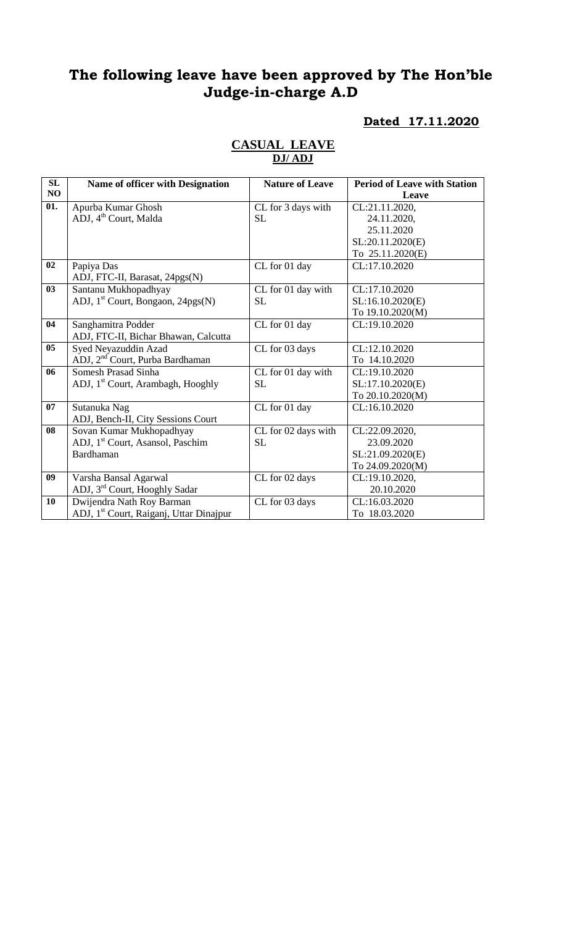# **The following leave have been approved by The Hon'ble Judge-in-charge A.D**

#### **Dated 17.11.2020**

| SL              | Name of officer with Designation                    | <b>Nature of Leave</b> | <b>Period of Leave with Station</b> |
|-----------------|-----------------------------------------------------|------------------------|-------------------------------------|
| <b>NO</b>       |                                                     |                        | Leave                               |
| 01.             | Apurba Kumar Ghosh                                  | CL for 3 days with     | CL:21.11.2020,                      |
|                 | ADJ, 4 <sup>th</sup> Court, Malda                   | <b>SL</b>              | 24.11.2020,                         |
|                 |                                                     |                        | 25.11.2020                          |
|                 |                                                     |                        | SL:20.11.2020(E)                    |
|                 |                                                     |                        | To 25.11.2020(E)                    |
| 02              | Papiya Das                                          | CL for 01 day          | CL:17.10.2020                       |
|                 | ADJ, FTC-II, Barasat, 24pgs(N)                      |                        |                                     |
| 03              | Santanu Mukhopadhyay                                | CL for 01 day with     | CL:17.10.2020                       |
|                 | ADJ, 1 <sup>st</sup> Court, Bongaon, 24pgs(N)       | <b>SL</b>              | SL:16.10.2020(E)                    |
|                 |                                                     |                        | To 19.10.2020(M)                    |
| 04              | Sanghamitra Podder                                  | CL for 01 day          | CL:19.10.2020                       |
|                 | ADJ, FTC-II, Bichar Bhawan, Calcutta                |                        |                                     |
| $\overline{05}$ | Syed Neyazuddin Azad                                | CL for 03 days         | CL:12.10.2020                       |
|                 | ADJ, 2 <sup>nd</sup> Court, Purba Bardhaman         |                        | To 14.10.2020                       |
| 06              | <b>Somesh Prasad Sinha</b>                          | CL for 01 day with     | CL:19.10.2020                       |
|                 | ADJ, 1 <sup>st</sup> Court, Arambagh, Hooghly       | <b>SL</b>              | SL:17.10.2020(E)                    |
|                 |                                                     |                        | To 20.10.2020(M)                    |
| 07              | Sutanuka Nag                                        | CL for 01 day          | CL:16.10.2020                       |
|                 | ADJ, Bench-II, City Sessions Court                  |                        |                                     |
| 08              | Sovan Kumar Mukhopadhyay                            | CL for 02 days with    | CL:22.09.2020,                      |
|                 | ADJ, 1 <sup>st</sup> Court, Asansol, Paschim        | <b>SL</b>              | 23.09.2020                          |
|                 | Bardhaman                                           |                        | SL:21.09.2020(E)                    |
|                 |                                                     |                        | To 24.09.2020(M)                    |
| 09              | Varsha Bansal Agarwal                               | CL for 02 days         | CL:19.10.2020,                      |
|                 | ADJ, 3 <sup>rd</sup> Court, Hooghly Sadar           |                        | 20.10.2020                          |
| 10              | Dwijendra Nath Roy Barman                           | CL for 03 days         | CL:16.03.2020                       |
|                 | ADJ, 1 <sup>st</sup> Court, Raiganj, Uttar Dinajpur |                        | To 18.03.2020                       |

#### **CASUAL LEAVE DJ/ ADJ**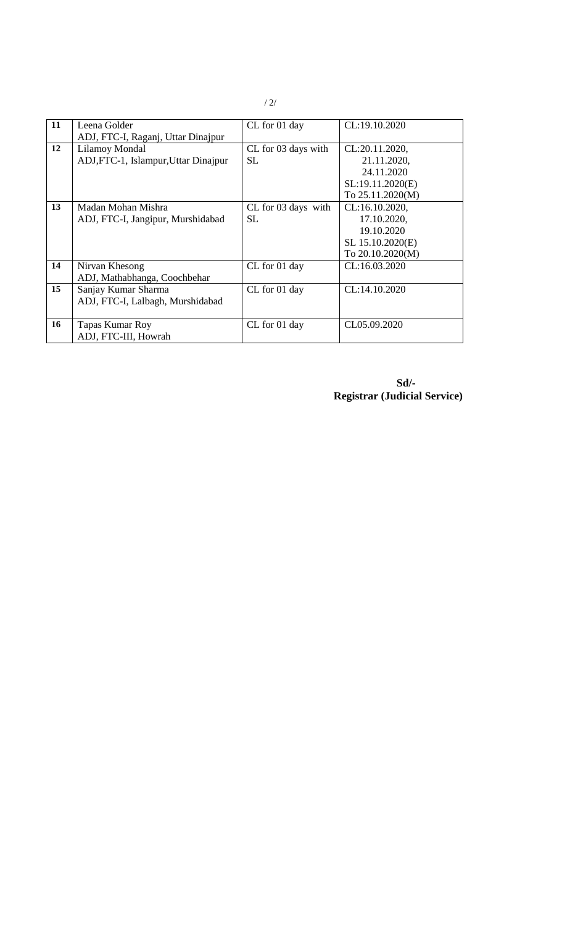| 11 | Leena Golder                         | CL for 01 day       | CL:19.10.2020    |
|----|--------------------------------------|---------------------|------------------|
|    | ADJ, FTC-I, Raganj, Uttar Dinajpur   |                     |                  |
| 12 | Lilamoy Mondal                       | CL for 03 days with | CL:20.11.2020,   |
|    | ADJ, FTC-1, Islampur, Uttar Dinajpur | <b>SL</b>           | 21.11.2020,      |
|    |                                      |                     | 24.11.2020       |
|    |                                      |                     | SL:19.11.2020(E) |
|    |                                      |                     | To 25.11.2020(M) |
| 13 | Madan Mohan Mishra                   | CL for 03 days with | CL:16.10.2020,   |
|    | ADJ, FTC-I, Jangipur, Murshidabad    | SL.                 | 17.10.2020,      |
|    |                                      |                     | 19.10.2020       |
|    |                                      |                     | SL 15.10.2020(E) |
|    |                                      |                     | To 20.10.2020(M) |
| 14 | Nirvan Khesong                       | CL for 01 day       | CL:16.03.2020    |
|    | ADJ, Mathabhanga, Coochbehar         |                     |                  |
| 15 | Sanjay Kumar Sharma                  | CL for 01 day       | CL:14.10.2020    |
|    | ADJ, FTC-I, Lalbagh, Murshidabad     |                     |                  |
|    |                                      |                     |                  |
| 16 | Tapas Kumar Roy                      | CL for 01 day       | CL05.09.2020     |
|    | ADJ, FTC-III, Howrah                 |                     |                  |

**Sd/- Registrar (Judicial Service)**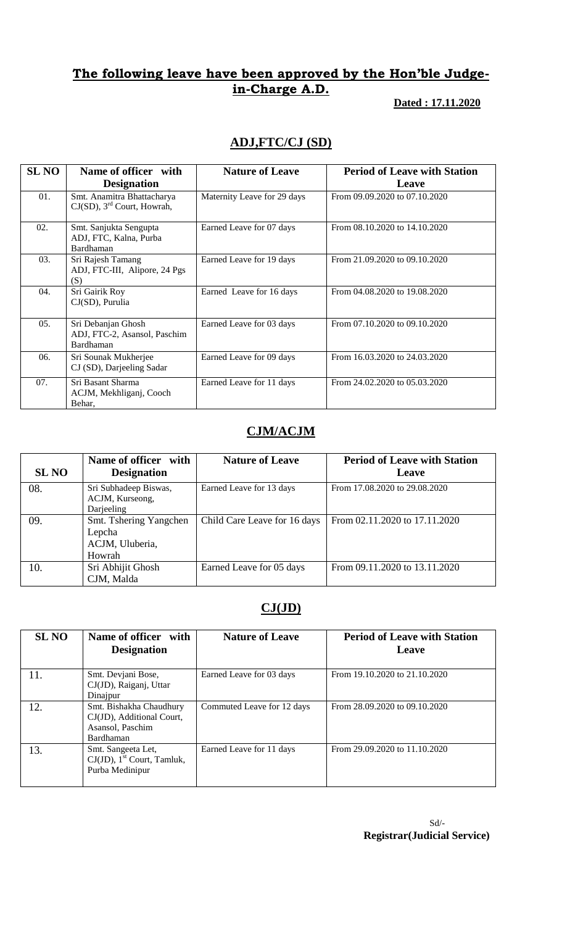### **The following leave have been approved by the Hon'ble Judgein-Charge A.D.**

 **Dated : 17.11.2020**

## **ADJ,FTC/CJ (SD)**

| <b>SL NO</b> | Name of officer with<br><b>Designation</b>                              | <b>Nature of Leave</b>      | <b>Period of Leave with Station</b><br>Leave |
|--------------|-------------------------------------------------------------------------|-----------------------------|----------------------------------------------|
| 01.          | Smt. Anamitra Bhattacharya<br>$CJ(SD)$ , 3 <sup>rd</sup> Court, Howrah, | Maternity Leave for 29 days | From 09.09.2020 to 07.10.2020                |
| 02.          | Smt. Sanjukta Sengupta<br>ADJ, FTC, Kalna, Purba<br>Bardhaman           | Earned Leave for 07 days    | From 08.10.2020 to 14.10.2020                |
| 03.          | Sri Rajesh Tamang<br>ADJ, FTC-III, Alipore, 24 Pgs<br>(S)               | Earned Leave for 19 days    | From 21.09.2020 to 09.10.2020                |
| 04.          | Sri Gairik Roy<br>CJ(SD), Purulia                                       | Earned Leave for 16 days    | From 04.08.2020 to 19.08.2020                |
| 05.          | Sri Debanjan Ghosh<br>ADJ, FTC-2, Asansol, Paschim<br>Bardhaman         | Earned Leave for 03 days    | From 07.10.2020 to 09.10.2020                |
| 06.          | Sri Sounak Mukherjee<br>CJ (SD), Darjeeling Sadar                       | Earned Leave for 09 days    | From 16.03.2020 to 24.03.2020                |
| 07.          | Sri Basant Sharma<br>ACJM, Mekhliganj, Cooch<br>Behar,                  | Earned Leave for 11 days    | From 24.02.2020 to 05.03.2020                |

## **CJM/ACJM**

| SL NO | Name of officer with<br><b>Designation</b>                    | <b>Nature of Leave</b>       | <b>Period of Leave with Station</b><br>Leave |
|-------|---------------------------------------------------------------|------------------------------|----------------------------------------------|
| 08.   | Sri Subhadeep Biswas,<br>ACJM, Kurseong,<br>Darjeeling        | Earned Leave for 13 days     | From 17.08.2020 to 29.08.2020                |
| 09.   | Smt. Tshering Yangchen<br>Lepcha<br>ACJM, Uluberia,<br>Howrah | Child Care Leave for 16 days | From 02.11.2020 to 17.11.2020                |
| 10.   | Sri Abhijit Ghosh<br>CJM, Malda                               | Earned Leave for 05 days     | From 09.11.2020 to 13.11.2020                |

### **CJ(JD)**

| <b>SL NO</b> | Name of officer with<br><b>Designation</b>                                            | <b>Nature of Leave</b>     | <b>Period of Leave with Station</b><br>Leave |
|--------------|---------------------------------------------------------------------------------------|----------------------------|----------------------------------------------|
| 11.          | Smt. Devjani Bose,<br>CJ(JD), Raiganj, Uttar<br>Dinajpur                              | Earned Leave for 03 days   | From 19.10.2020 to 21.10.2020                |
| 12.          | Smt. Bishakha Chaudhury<br>CJ(JD), Additional Court,<br>Asansol, Paschim<br>Bardhaman | Commuted Leave for 12 days | From 28.09.2020 to 09.10.2020                |
| 13.          | Smt. Sangeeta Let,<br>$CJ(JD)$ , 1 <sup>st</sup> Court, Tamluk,<br>Purba Medinipur    | Earned Leave for 11 days   | From 29.09.2020 to 11.10.2020                |